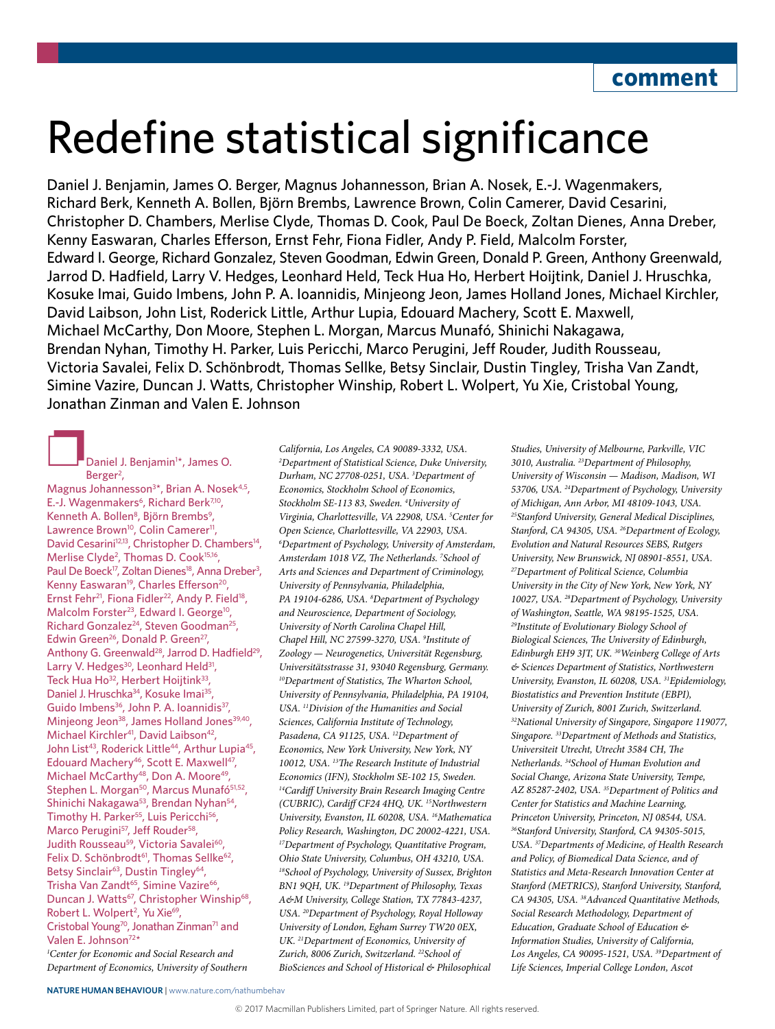# Redefine statistical significance

Daniel J. Benjamin, James O. Berger, Magnus Johannesson, Brian A. Nosek, E.-J. Wagenmakers, Richard Berk, Kenneth A. Bollen, Björn Brembs, Lawrence Brown, Colin Camerer, David Cesarini, Christopher D. Chambers, Merlise Clyde, Thomas D. Cook, Paul De Boeck, Zoltan Dienes, Anna Dreber, Kenny Easwaran, Charles Efferson, Ernst Fehr, Fiona Fidler, Andy P. Field, Malcolm Forster, Edward I. George, Richard Gonzalez, Steven Goodman, Edwin Green, Donald P. Green, Anthony Greenwald, Jarrod D. Hadfield, Larry V. Hedges, Leonhard Held, Teck Hua Ho, Herbert Hoijtink, Daniel J. Hruschka, Kosuke Imai, Guido Imbens, John P. A. Ioannidis, Minjeong Jeon, James Holland Jones, Michael Kirchler, David Laibson, John List, Roderick Little, Arthur Lupia, Edouard Machery, Scott E. Maxwell, Michael McCarthy, Don Moore, Stephen L. Morgan, Marcus Munafó, Shinichi Nakagawa, Brendan Nyhan, Timothy H. Parker, Luis Pericchi, Marco Perugini, Jeff Rouder, Judith Rousseau, Victoria Savalei, Felix D. Schönbrodt, Thomas Sellke, Betsy Sinclair, Dustin Tingley, Trisha Van Zandt, Simine Vazire, Duncan J. Watts, Christopher Winship, Robert L. Wolpert, Yu Xie, Cristobal Young, Jonathan Zinman and Valen E. Johnson

# **Daniel J. Benjamin<sup>1\*</sup>, James O.** Berger<sup>2</sup>,

Magnus Johannesson<sup>3\*</sup>, Brian A. Nosek<sup>4,5</sup>, E.-J. Wagenmakers<sup>6</sup>, Richard Berk<sup>7,10</sup>, Kenneth A. Bollen<sup>8</sup>, Björn Brembs<sup>9</sup>, Lawrence Brown<sup>10</sup>, Colin Camerer<sup>11</sup>, David Cesarini<sup>12,13</sup>, Christopher D. Chambers<sup>14</sup>, Merlise Clyde<sup>2</sup>, Thomas D. Cook<sup>15,16</sup>, Paul De Boeck<sup>17</sup>, Zoltan Dienes<sup>18</sup>, Anna Dreber<sup>3</sup>, Kenny Easwaran<sup>19</sup>, Charles Efferson<sup>20</sup>, Ernst Fehr<sup>21</sup>, Fiona Fidler<sup>22</sup>, Andy P. Field<sup>18</sup>, Malcolm Forster<sup>23</sup>, Edward I. George<sup>10</sup>, Richard Gonzalez<sup>24</sup>, Steven Goodman<sup>25</sup>, Edwin Green<sup>26</sup>, Donald P. Green<sup>27</sup>, Anthony G. Greenwald<sup>28</sup>, Jarrod D. Hadfield<sup>29</sup>, Larry V. Hedges<sup>30</sup>, Leonhard Held<sup>31</sup>, Teck Hua Ho<sup>32</sup>, Herbert Hoijtink<sup>33</sup>, Daniel J. Hruschka<sup>34</sup>, Kosuke Imai<sup>35</sup>, Guido Imbens<sup>36</sup>, John P. A. Ioannidis<sup>37</sup>, Minjeong Jeon<sup>38</sup>, James Holland Jones<sup>39,40</sup>, Michael Kirchler<sup>41</sup>, David Laibson<sup>42</sup>, John List<sup>43</sup>, Roderick Little<sup>44</sup>, Arthur Lupia<sup>45</sup>, Edouard Machery<sup>46</sup>, Scott E. Maxwell<sup>47</sup>, Michael McCarthy<sup>48</sup>, Don A. Moore<sup>49</sup>, Stephen L. Morgan<sup>50</sup>, Marcus Munafó<sup>51,52</sup>, Shinichi Nakagawa<sup>53</sup>, Brendan Nyhan<sup>54</sup>, Timothy H. Parker<sup>55</sup>, Luis Pericchi<sup>56</sup>, Marco Perugini<sup>57</sup>, Jeff Rouder<sup>58</sup>, Judith Rousseau<sup>59</sup>, Victoria Savalei<sup>60</sup>, Felix D. Schönbrodt<sup>61</sup>, Thomas Sellke<sup>62</sup>, Betsy Sinclair<sup>63</sup>, Dustin Tingley<sup>64</sup>, Trisha Van Zandt<sup>65</sup>, Simine Vazire<sup>66</sup>, Duncan J. Watts<sup>67</sup>, Christopher Winship<sup>68</sup>, Robert L. Wolpert<sup>2</sup>, Yu Xie<sup>69</sup>, Cristobal Young<sup>70</sup>, Jonathan Zinman<sup>71</sup> and Valen E. Johnson72\* *1 Center for Economic and Social Research and Department of Economics, University of Southern* 

*California, Los Angeles, CA 90089-3332, USA. 2 Department of Statistical Science, Duke University, Durham, NC 27708-0251, USA. 3 Department of Economics, Stockholm School of Economics, Stockholm SE-113 83, Sweden. 4 University of Virginia, Charlottesville, VA 22908, USA. 5 Center for Open Science, Charlottesville, VA 22903, USA. 6 Department of Psychology, University of Amsterdam, Amsterdam 1018 VZ, The Netherlands. 7 School of Arts and Sciences and Department of Criminology, University of Pennsylvania, Philadelphia, PA 19104-6286, USA. 8 Department of Psychology and Neuroscience, Department of Sociology, University of North Carolina Chapel Hill, Chapel Hill, NC 27599-3270, USA. 9 Institute of Zoology — Neurogenetics, Universität Regensburg, Universitätsstrasse 31, 93040 Regensburg, Germany. 10Department of Statistics, The Wharton School, University of Pennsylvania, Philadelphia, PA 19104, USA. 11Division of the Humanities and Social Sciences, California Institute of Technology, Pasadena, CA 91125, USA. 12Department of Economics, New York University, New York, NY 10012, USA. 13The Research Institute of Industrial Economics (IFN), Stockholm SE-102 15, Sweden. 14Cardiff University Brain Research Imaging Centre (CUBRIC), Cardiff CF24 4HQ, UK. 15Northwestern University, Evanston, IL 60208, USA. 16Mathematica Policy Research, Washington, DC 20002-4221, USA. 17Department of Psychology, Quantitative Program, Ohio State University, Columbus, OH 43210, USA. 18School of Psychology, University of Sussex, Brighton BN1 9QH, UK. 19Department of Philosophy, Texas A&M University, College Station, TX 77843-4237, USA. 20Department of Psychology, Royal Holloway University of London, Egham Surrey TW20 0EX, UK. 21Department of Economics, University of Zurich, 8006 Zurich, Switzerland. 22School of BioSciences and School of Historical & Philosophical* 

*Studies, University of Melbourne, Parkville, VIC 3010, Australia. 23Department of Philosophy, University of Wisconsin — Madison, Madison, WI 53706, USA. 24Department of Psychology, University of Michigan, Ann Arbor, MI 48109-1043, USA. 25Stanford University, General Medical Disciplines, Stanford, CA 94305, USA. 26Department of Ecology, Evolution and Natural Resources SEBS, Rutgers University, New Brunswick, NJ 08901-8551, USA. 27Department of Political Science, Columbia University in the City of New York, New York, NY 10027, USA. 28Department of Psychology, University of Washington, Seattle, WA 98195-1525, USA. 29Institute of Evolutionary Biology School of Biological Sciences, The University of Edinburgh, Edinburgh EH9 3JT, UK. 30Weinberg College of Arts & Sciences Department of Statistics, Northwestern University, Evanston, IL 60208, USA. 31Epidemiology, Biostatistics and Prevention Institute (EBPI), University of Zurich, 8001 Zurich, Switzerland. 32National University of Singapore, Singapore 119077, Singapore. 33Department of Methods and Statistics, Universiteit Utrecht, Utrecht 3584 CH, The Netherlands. 34School of Human Evolution and Social Change, Arizona State University, Tempe, AZ 85287-2402, USA. 35Department of Politics and Center for Statistics and Machine Learning, Princeton University, Princeton, NJ 08544, USA. 36Stanford University, Stanford, CA 94305-5015, USA. 37Departments of Medicine, of Health Research and Policy, of Biomedical Data Science, and of Statistics and Meta-Research Innovation Center at Stanford (METRICS), Stanford University, Stanford, CA 94305, USA. 38Advanced Quantitative Methods, Social Research Methodology, Department of Education, Graduate School of Education & Information Studies, University of California, Los Angeles, CA 90095-1521, USA. 39Department of Life Sciences, Imperial College London, Ascot*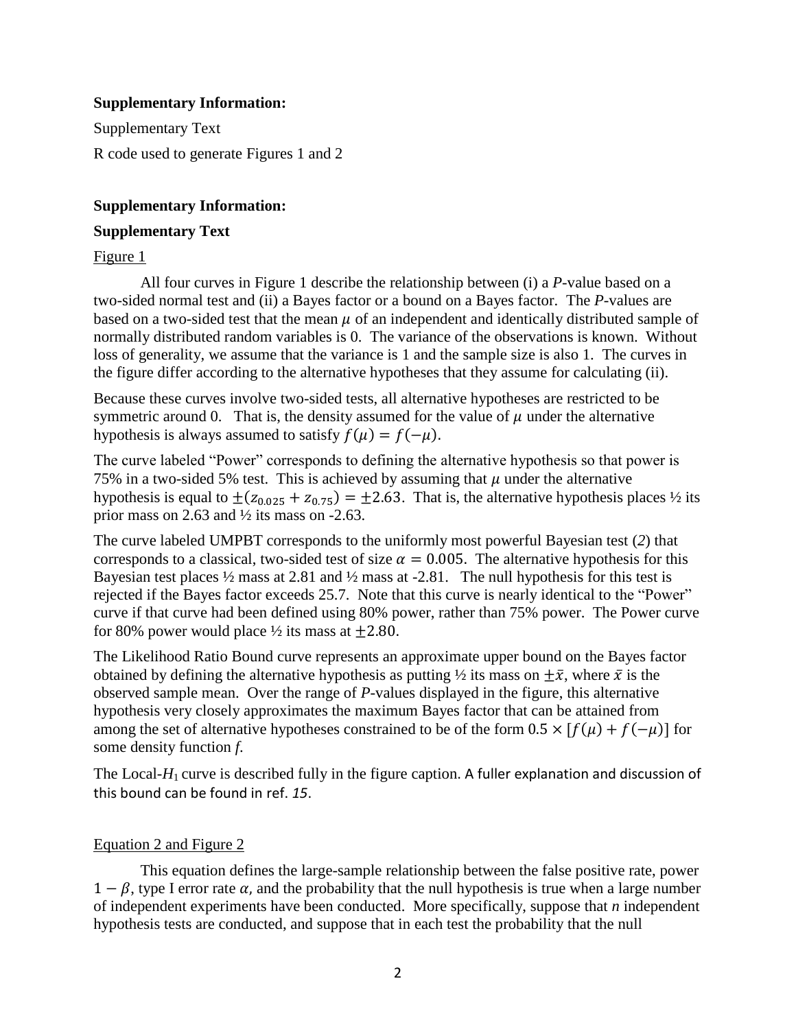### **Supplementary Information:**

Supplementary Text R code used to generate Figures 1 and 2

### **Supplementary Information:**

#### **Supplementary Text**

#### Figure 1

All four curves in Figure 1 describe the relationship between (i) a *P*-value based on a two-sided normal test and (ii) a Bayes factor or a bound on a Bayes factor. The *P*-values are based on a two-sided test that the mean  $\mu$  of an independent and identically distributed sample of normally distributed random variables is 0. The variance of the observations is known. Without loss of generality, we assume that the variance is 1 and the sample size is also 1. The curves in the figure differ according to the alternative hypotheses that they assume for calculating (ii).

Because these curves involve two-sided tests, all alternative hypotheses are restricted to be symmetric around 0. That is, the density assumed for the value of  $\mu$  under the alternative hypothesis is always assumed to satisfy  $f(\mu) = f(-\mu)$ .

The curve labeled "Power" corresponds to defining the alternative hypothesis so that power is 75% in a two-sided 5% test. This is achieved by assuming that  $\mu$  under the alternative hypothesis is equal to  $\pm ( z_{0.025} + z_{0.75} ) = \pm 2.63$ . That is, the alternative hypothesis places 1/2 its prior mass on 2.63 and  $\frac{1}{2}$  its mass on -2.63.

The curve labeled UMPBT corresponds to the uniformly most powerful Bayesian test (*2*) that corresponds to a classical, two-sided test of size  $\alpha = 0.005$ . The alternative hypothesis for this Bayesian test places  $\frac{1}{2}$  mass at 2.81 and  $\frac{1}{2}$  mass at -2.81. The null hypothesis for this test is rejected if the Bayes factor exceeds 25.7. Note that this curve is nearly identical to the "Power" curve if that curve had been defined using 80% power, rather than 75% power. The Power curve for 80% power would place  $\frac{1}{2}$  its mass at  $\pm 2.80$ .

The Likelihood Ratio Bound curve represents an approximate upper bound on the Bayes factor obtained by defining the alternative hypothesis as putting  $\frac{1}{2}$  its mass on  $\pm \bar{x}$ , where  $\bar{x}$  is the observed sample mean. Over the range of *P*-values displayed in the figure, this alternative hypothesis very closely approximates the maximum Bayes factor that can be attained from among the set of alternative hypotheses constrained to be of the form  $0.5 \times [f(\mu) + f(-\mu)]$  for some density function *f*.

The Local-*H*<sub>1</sub> curve is described fully in the figure caption. A fuller explanation and discussion of this bound can be found in ref. *15*.

## Equation 2 and Figure 2

This equation defines the large-sample relationship between the false positive rate, power  $1 - \beta$ , type I error rate  $\alpha$ , and the probability that the null hypothesis is true when a large number of independent experiments have been conducted. More specifically, suppose that *n* independent hypothesis tests are conducted, and suppose that in each test the probability that the null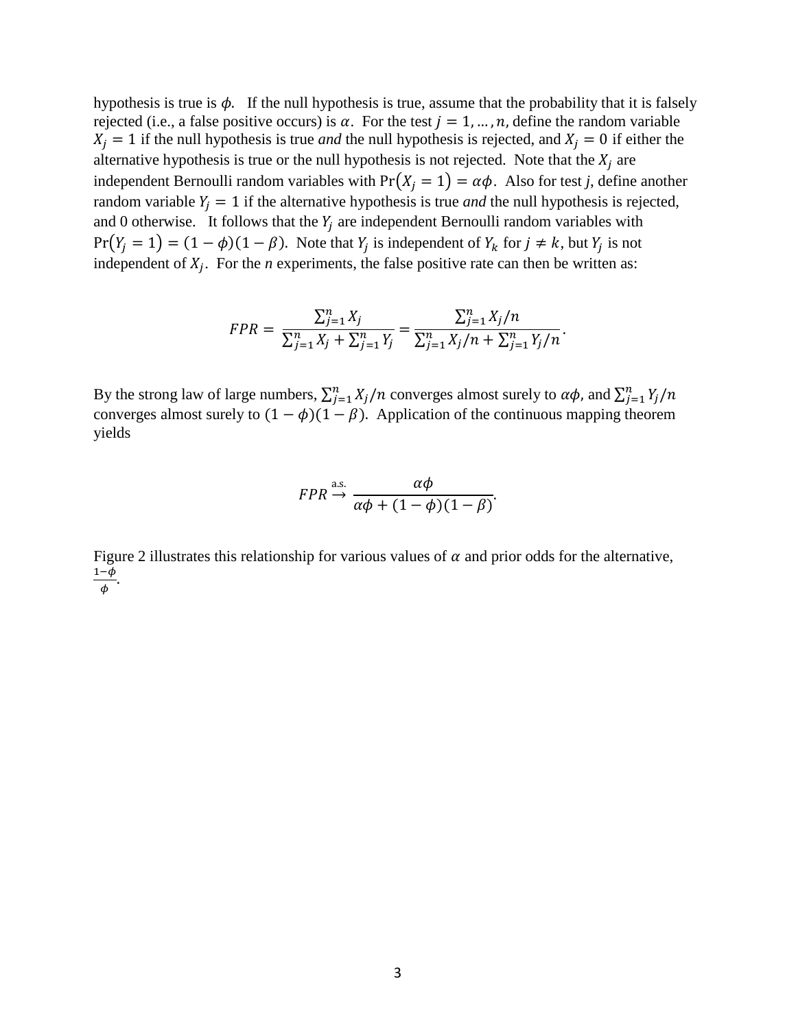hypothesis is true is  $\phi$ . If the null hypothesis is true, assume that the probability that it is falsely rejected (i.e., a false positive occurs) is  $\alpha$ . For the test  $j = 1, ..., n$ , define the random variable  $X_j = 1$  if the null hypothesis is true *and* the null hypothesis is rejected, and  $X_j = 0$  if either the alternative hypothesis is true or the null hypothesis is not rejected. Note that the  $X_i$  are independent Bernoulli random variables with  $Pr(X_i = 1) = \alpha \phi$ . Also for test *j*, define another random variable  $Y_i = 1$  if the alternative hypothesis is true *and* the null hypothesis is rejected, and 0 otherwise. It follows that the  $Y_i$  are independent Bernoulli random variables with  $Pr(Y_i = 1) = (1 - \phi)(1 - \beta)$ . Note that  $Y_i$  is independent of  $Y_k$  for  $j \neq k$ , but  $Y_i$  is not independent of  $X_i$ . For the *n* experiments, the false positive rate can then be written as:

$$
FPR = \frac{\sum_{j=1}^{n} X_j}{\sum_{j=1}^{n} X_j + \sum_{j=1}^{n} Y_j} = \frac{\sum_{j=1}^{n} X_j/n}{\sum_{j=1}^{n} X_j/n + \sum_{j=1}^{n} Y_j/n}.
$$

By the strong law of large numbers,  $\sum_{j=1}^{n} X_j/n$  converges almost surely to  $\alpha\phi$ , and  $\sum_{j=1}^{n} Y_j$ converges almost surely to  $(1 - \phi)(1 - \beta)$ . Application of the continuous mapping theorem yields

$$
FPR \xrightarrow{\text{a.s.}} \frac{\alpha \phi}{\alpha \phi + (1 - \phi)(1 - \beta)}.
$$

Figure 2 illustrates this relationship for various values of  $\alpha$  and prior odds for the alternative,  $\mathbf 1$  $\frac{-\varphi}{\phi}$ .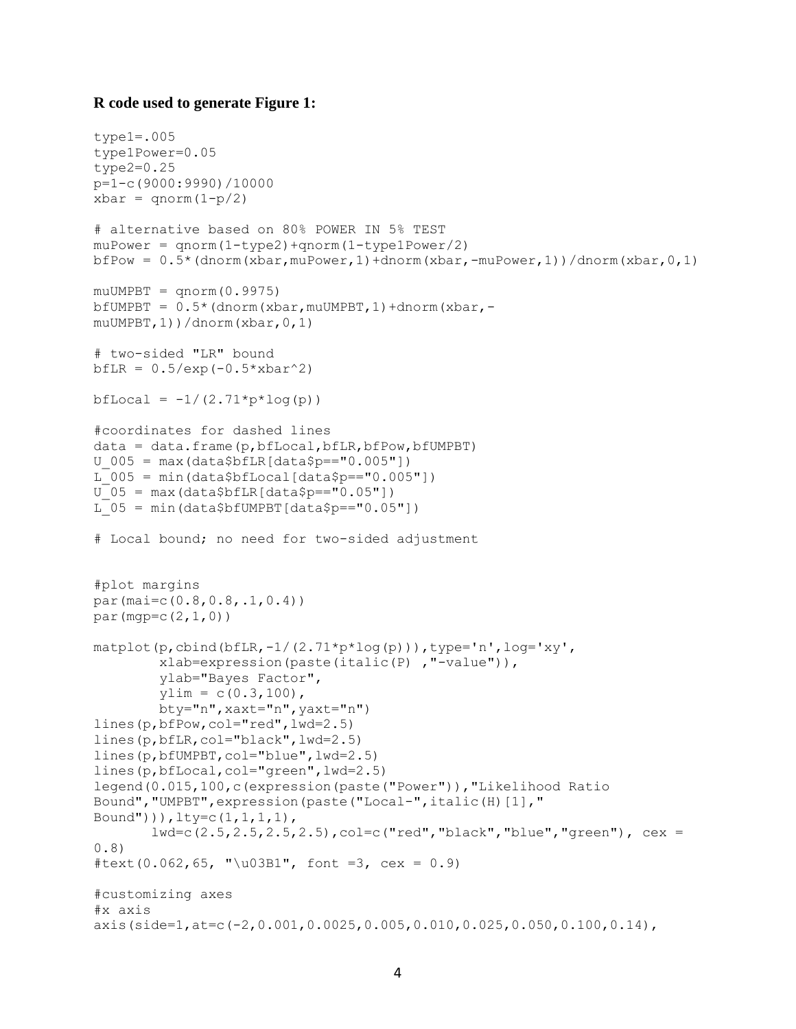#### **R code used to generate Figure 1:**

```
type1=.005
type1Power=0.05
type2=0.25
p=1-c(9000:9990)/10000
xbar = qnorm(1-p/2)# alternative based on 80% POWER IN 5% TEST
muPower = qnorm(1-type2) + qnorm(1-type1Power/2)bfPow = 0.5^{\star} (dnorm (xbar, muPower, 1) +dnorm (xbar, -muPower, 1) ) /dnorm (xbar, 0, 1)
muUMPBT = qnorm(0.9975)bfUMPBT = 0.5* (dnorm(xbar, muUMPBT, 1)+dnorm(xbar, -
muUMPBT,1))/dnorm(xbar,0,1)
# two-sided "LR" bound
bfLR = 0.5/exp(-0.5*xbar^2)bfLocal = -1/(2.71*ptlog(p))#coordinates for dashed lines
data = data frame(p,bfLocal,bfLR,bfPow,bfUMPBT)U_005 = \max(data$bfLR[data$p=="0.005"])L 005 = min(data$bfLocal[data$p=="0.005"])
U_05 = \max(data$bfLR[data$p=="0.05"])L 05 = min(data$bfUMPBT[data$p=="0.05"])
# Local bound; no need for two-sided adjustment
#plot margins
par(mai=c(0.8,0.8,.1,0.4))
par(mqp=c(2,1,0))\text{matplot}(p, \text{cbind}(bfLR, -1/(2.71*p*log(p)))), type='n', log='xy',
         xlab=expression(paste(italic(P) ,"-value")),
         ylab="Bayes Factor",
        vlim = c(0.3,100),
         bty="n",xaxt="n",yaxt="n")
lines(p,bfPow,col="red",lwd=2.5)
lines(p,bfLR,col="black",lwd=2.5)
lines(p,bfUMPBT,col="blue",lwd=2.5)
lines(p,bfLocal,col="green",lwd=2.5)
legend(0.015,100,c(expression(paste("Power")),"Likelihood Ratio 
Bound", "UMPBT", expression (paste ("Local-", italic(H)[1], "
Bound"))),lty=c(1,1,1,1),
       lwd=c(2.5,2.5,2.5,2.5),col=c("red","black","blue","green"), cex =
0.8)
#text(0.062,65, "\u03B1", font =3, cex = 0.9)
#customizing axes
#x axis
axis(side=1,at=c(-2,0.001,0.0025,0.005,0.010,0.025,0.050,0.100,0.14),
```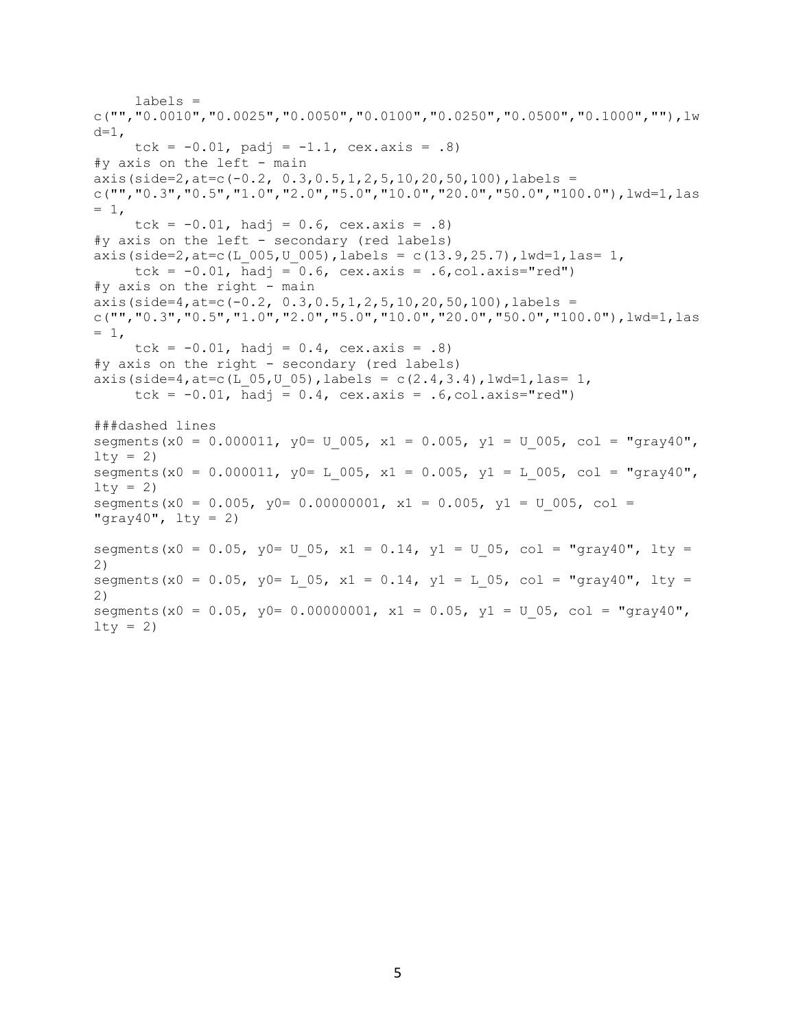```
 labels = 
c("", "0.0010", "0.0025", "0.0050", "0.0100", "0.0250", "0.0500", "0.1000", ""); Lwd=1,
     tck = -0.01, padj = -1.1, cex.axis = .8)
#y axis on the left - main
axis(side=2, at=c(-0.2, 0.3, 0.5, 1, 2, 5, 10, 20, 50, 100), labels =
c("", "0.3", "0.5", "1.0", "2.0", "5.0", "10.0", "20.0", "50.0", "100.0", "100.0",]= 1,tck = -0.01, hadj = 0.6, cex.axis = .8)
#y axis on the left - secondary (red labels)
axis(side=2, at=c(L 005, U 005), labels = c(13.9,25.7), lwd=1, las= 1,
     tck = -0.01, hadj = 0.6, cex.axis = .6, col.axis="red")
#y axis on the right - main
\frac{1}{2}axis(side=4,at=c(-0.2, 0.3,0.5,1,2,5,10,20,50,100),labels =
c("", "0.3", "0.5", "1.0", "2.0", "5.0", "10.0", "20.0", "50.0", "100.0", "100.0",]= 1,tck = -0.01, hadj = 0.4, cex.axis = .8)
#y axis on the right - secondary (red labels)
axis(side=4, at=c(L 05, U 05), labels = c(2.4,3.4), lwd=1, las= 1,
     tck = -0.01, hadj = 0.4, cex.axis = .6,col.axis="red")
###dashed lines
segments(x0 = 0.000011, y0= U 005, x1 = 0.005, y1 = U 005, col = "gray40",
lty = 2)segments(x0 = 0.000011, y0= L 005, x1 = 0.005, y1 = L 005, col = "gray40",
lty = 2)segments(x0 = 0.005, y0= 0.00000001, x1 = 0.005, y1 = U 005, col =
"gray40", lty = 2)
segments(x0 = 0.05, y0= U 05, x1 = 0.14, y1 = U 05, col = "gray40", lty =
2)
segments(x0 = 0.05, y0= L 05, x1 = 0.14, y1 = L 05, col = "gray40", lty =
2)
segments(x0 = 0.05, y0= 0.00000001, x1 = 0.05, y1 = U 05, col = "gray40",
lty = 2)
```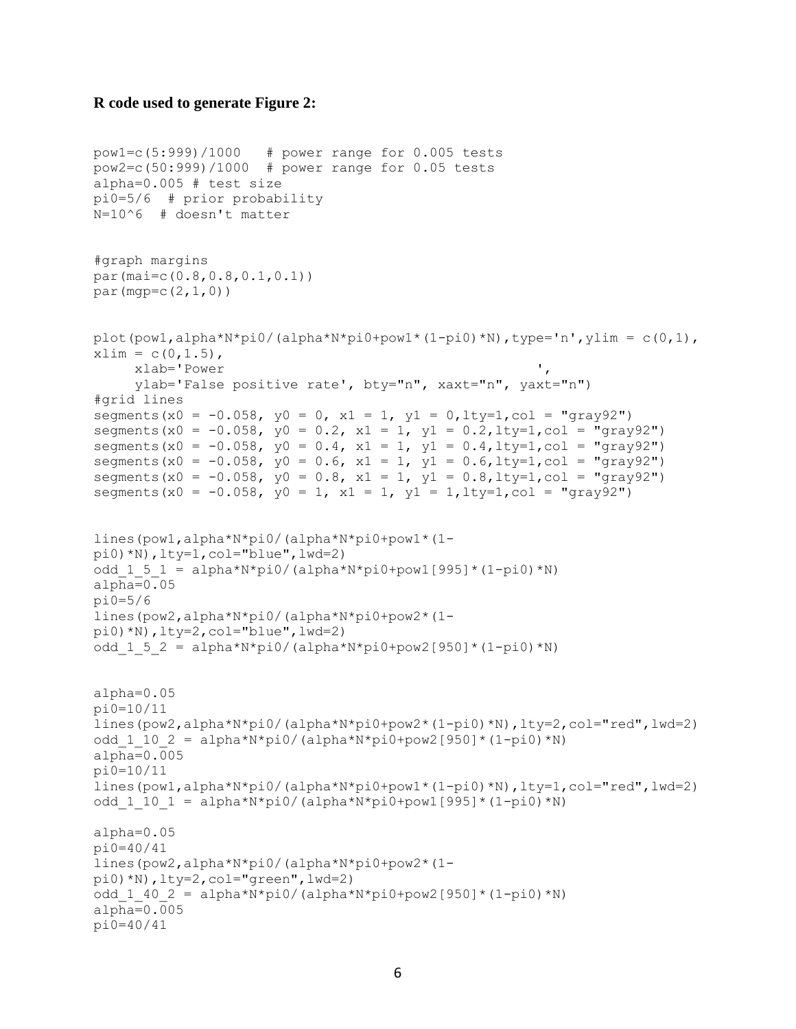#### **R code used to generate Figure 2:**

```
pow1=c(5:999)/1000 # power range for 0.005 tests
pow2=c(50:999)/1000 # power range for 0.05 tests
alpha=0.005 # test size
pi0=5/6 # prior probability
N=10^6 # doesn't matter
#graph margins
par(mai=c(0.8,0.8,0.1,0.1))
par(mqp=c(2,1,0))plot(pow1,alpha*N*pi0/(alpha*N*pi0+pow1*(1-pi0)*N),type='n',ylim = c(0,1),
xlim = c(0, 1.5),
      xlab='Power ',
      ylab='False positive rate', bty="n", xaxt="n", yaxt="n")
#grid lines
segments(x0 = -0.058, y0 = 0, x1 = 1, y1 = 0,lty=1,col = "gray92")
segments(x0 = -0.058, y0 = 0.2, x1 = 1, y1 = 0.2, lty=1, col = "gray92")
segments(x0 = -0.058, y0 = 0.4, x1 = 1, y1 = 0.4, lty=1, col = "gray92")
segments(x0 = -0.058, y0 = 0.6, x1 = 1, y1 = 0.6, lty=1, col = "qray92")
segments(x0 = -0.058, y0 = 0.8, x1 = 1, y1 = 0.8, lty=1, col = "gray92")
segments(x0 = -0.058, y0 = 1, x1 = 1, y1 = 1, lty=1, col = "gray92")
lines(pow1,alpha*N*pi0/(alpha*N*pi0+pow1*(1-
pi0)*N),lty=1,col="blue",lwd=2)
odd 1 5 1 = alpha*N*pi0/(alpha*N*pi0+pow1[995]*(1-pi0)*N)
alpha=0.05
pi0=5/6 
lines(pow2,alpha*N*pi0/(alpha*N*pi0+pow2*(1-
pi0)*N),lty=2,col="blue",lwd=2)
odd 1 5 2 = alpha*N*pi0/(alpha*N*pi0+pow2[950]*(1-pi0)*N)
alpha=0.05
pi0=10/11
lines(pow2,alpha*N*pi0/(alpha*N*pi0+pow2*(1-pi0)*N),lty=2,col="red",lwd=2)
odd 1 10 2 = alpha*N*pi0/(alpha*N*pi0+pow2[950]*(1-pi0)*N)
alpha=0.005
pi0=10/11
lines(pow1,alpha*N*pi0/(alpha*N*pi0+pow1*(1-pi0)*N),lty=1,col="red",lwd=2)
odd 1 10 1 = alpha*N*pi0/(alpha*N*pi0+pow1[995]*(1-pi0)*N)
alpha=0.05
pi0=40/41
lines(pow2,alpha*N*pi0/(alpha*N*pi0+pow2*(1-
pi0)*N),lty=2,col="green",lwd=2)
odd 1 40 2 = alpha*N*pi0/(alpha*N*pi0+pow2[950]*(1-pi0)*N)
alpha=0.005
pi0=40/41
```